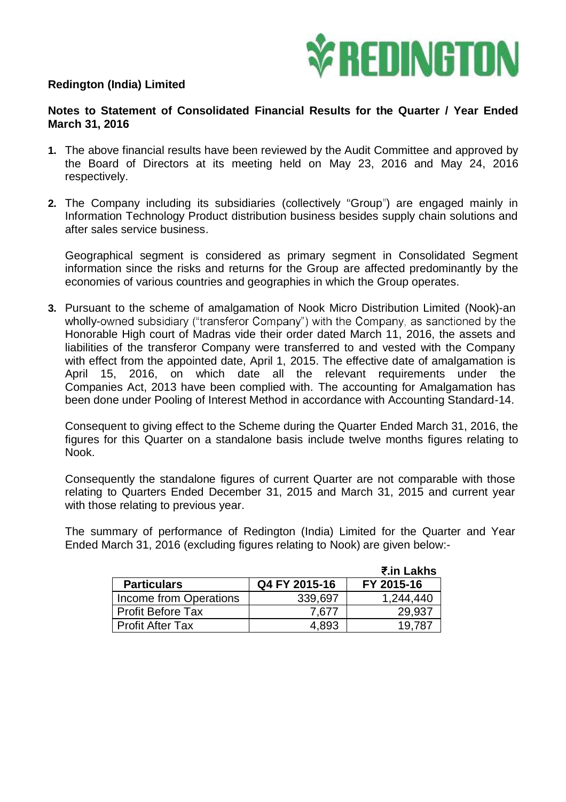

## **Redington (India) Limited**

## **Notes to Statement of Consolidated Financial Results for the Quarter / Year Ended March 31, 2016**

- **1.** The above financial results have been reviewed by the Audit Committee and approved by the Board of Directors at its meeting held on May 23, 2016 and May 24, 2016 respectively.
- **2.** The Company including its subsidiaries (collectively "Group") are engaged mainly in Information Technology Product distribution business besides supply chain solutions and after sales service business.

Geographical segment is considered as primary segment in Consolidated Segment information since the risks and returns for the Group are affected predominantly by the economies of various countries and geographies in which the Group operates.

**3.** Pursuant to the scheme of amalgamation of Nook Micro Distribution Limited (Nook)-an wholly-owned subsidiary ("transferor Company") with the Company, as sanctioned by the Honorable High court of Madras vide their order dated March 11, 2016, the assets and liabilities of the transferor Company were transferred to and vested with the Company with effect from the appointed date, April 1, 2015. The effective date of amalgamation is April 15, 2016, on which date all the relevant requirements under the Companies Act, 2013 have been complied with. The accounting for Amalgamation has been done under Pooling of Interest Method in accordance with Accounting Standard-14.

Consequent to giving effect to the Scheme during the Quarter Ended March 31, 2016, the figures for this Quarter on a standalone basis include twelve months figures relating to Nook.

Consequently the standalone figures of current Quarter are not comparable with those relating to Quarters Ended December 31, 2015 and March 31, 2015 and current year with those relating to previous year.

The summary of performance of Redington (India) Limited for the Quarter and Year Ended March 31, 2016 (excluding figures relating to Nook) are given below:-

|                          |               | ₹.in Lakhs |
|--------------------------|---------------|------------|
| <b>Particulars</b>       | Q4 FY 2015-16 | FY 2015-16 |
| Income from Operations   | 339,697       | 1,244,440  |
| <b>Profit Before Tax</b> | 7,677         | 29,937     |
| <b>Profit After Tax</b>  | 4,893         | 19.78.     |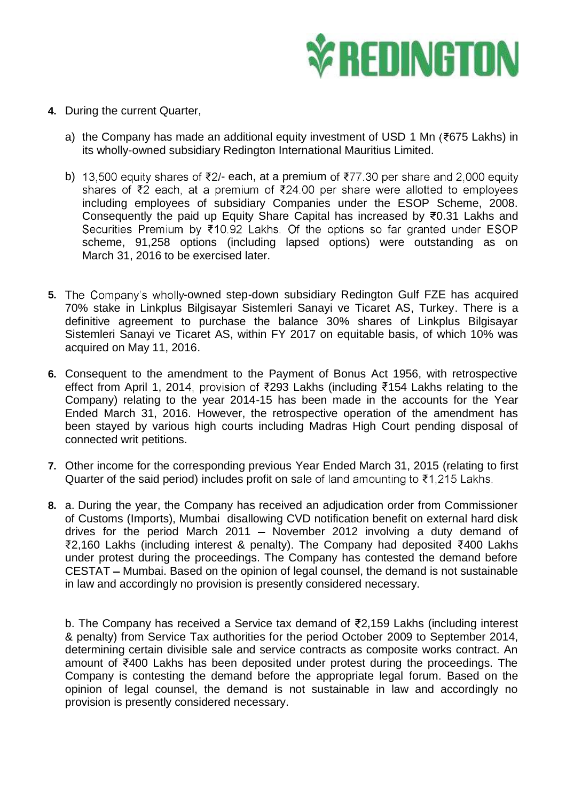

- **4.** During the current Quarter,
	- a) the Company has made an additional equity investment of USD 1 Mn ( $\text{\texttt{7675}}$  Lakhs) in its wholly-owned subsidiary Redington International Mauritius Limited.
	- b) 13,500 equity shares of  $\overline{z}2$  each, at a premium of  $\overline{z}77.30$  per share and 2,000 equity shares of ₹2 each, at a premium of ₹24.00 per share were allotted to employees including employees of subsidiary Companies under the ESOP Scheme, 2008. Consequently the paid up Equity Share Capital has increased by  $\overline{50.31}$  Lakhs and Securities Premium by  $\overline{510.92}$  Lakhs. Of the options so far granted under ESOP scheme, 91,258 options (including lapsed options) were outstanding as on March 31, 2016 to be exercised later.
- **5.** The Company's wholly-owned step-down subsidiary Redington Gulf FZE has acquired 70% stake in Linkplus Bilgisayar Sistemleri Sanayi ve Ticaret AS, Turkey. There is a definitive agreement to purchase the balance 30% shares of Linkplus Bilgisayar Sistemleri Sanayi ve Ticaret AS, within FY 2017 on equitable basis, of which 10% was acquired on May 11, 2016.
- **6.** Consequent to the amendment to the Payment of Bonus Act 1956, with retrospective effect from April 1, 2014, provision of ₹293 Lakhs (including ₹154 Lakhs relating to the Company) relating to the year 2014-15 has been made in the accounts for the Year Ended March 31, 2016. However, the retrospective operation of the amendment has been stayed by various high courts including Madras High Court pending disposal of connected writ petitions.
- **7.** Other income for the corresponding previous Year Ended March 31, 2015 (relating to first Quarter of the said period) includes profit on sale of land amounting to  $\text{\texttt{7}}1,215$  Lakhs.
- **8.** a. During the year, the Company has received an adjudication order from Commissioner of Customs (Imports), Mumbai disallowing CVD notification benefit on external hard disk drives for the period March 2011 - November 2012 involving a duty demand of  $\overline{2}$ ,160 Lakhs (including interest & penalty). The Company had deposited  $\overline{2}$ 400 Lakhs under protest during the proceedings. The Company has contested the demand before CESTAT – Mumbai. Based on the opinion of legal counsel, the demand is not sustainable in law and accordingly no provision is presently considered necessary.

b. The Company has received a Service tax demand of  $\bar{\tau}$ 2,159 Lakhs (including interest & penalty) from Service Tax authorities for the period October 2009 to September 2014, determining certain divisible sale and service contracts as composite works contract. An amount of  $\bar{f}$ 400 Lakhs has been deposited under protest during the proceedings. The Company is contesting the demand before the appropriate legal forum. Based on the opinion of legal counsel, the demand is not sustainable in law and accordingly no provision is presently considered necessary.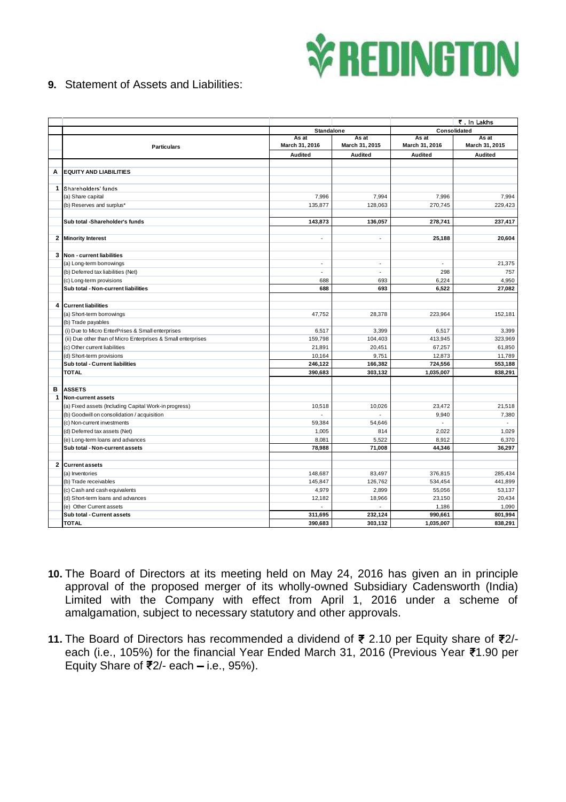

## **9.** Statement of Assets and Liabilities:

|                  |                                                              |                         | ₹. In Lakhs             |                         |                         |  |
|------------------|--------------------------------------------------------------|-------------------------|-------------------------|-------------------------|-------------------------|--|
|                  |                                                              |                         | <b>Standalone</b>       |                         | Consolidated            |  |
|                  | <b>Particulars</b>                                           | As at<br>March 31, 2016 | As at<br>March 31, 2015 | As at<br>March 31, 2016 | As at<br>March 31, 2015 |  |
|                  |                                                              | <b>Audited</b>          | <b>Audited</b>          | <b>Audited</b>          | Audited                 |  |
|                  |                                                              |                         |                         |                         |                         |  |
| Α                | <b>EQUITY AND LIABILITIES</b>                                |                         |                         |                         |                         |  |
|                  |                                                              |                         |                         |                         |                         |  |
| $\mathbf{1}$     | Shareholders' funds                                          |                         |                         |                         |                         |  |
|                  | (a) Share capital                                            | 7,996                   | 7,994                   | 7,996                   | 7,994                   |  |
|                  | (b) Reserves and surplus*                                    | 135,877                 | 128,063                 | 270,745                 | 229,423                 |  |
|                  |                                                              |                         |                         |                         |                         |  |
|                  | Sub total -Shareholder's funds                               | 143,873                 | 136,057                 | 278,741                 | 237,417                 |  |
|                  |                                                              |                         |                         |                         |                         |  |
| $\mathbf{2}$     | <b>Minority Interest</b>                                     | ÷,                      | $\sim$                  | 25,188                  | 20,604                  |  |
|                  |                                                              |                         |                         |                         |                         |  |
| 3                | Non - current liabilities                                    |                         |                         |                         |                         |  |
|                  | (a) Long-term borrowings                                     | $\sim$                  | $\omega$                | ÷.                      | 21,375                  |  |
|                  | (b) Deferred tax liabilities (Net)                           | ÷.                      | ÷.                      | 298                     | 757                     |  |
|                  | (c) Long-term provisions                                     | 688                     | 693                     | 6,224                   | 4,950                   |  |
|                  | Sub total - Non-current liabilities                          | 688                     | 693                     | 6,522                   | 27,082                  |  |
|                  |                                                              |                         |                         |                         |                         |  |
| $\boldsymbol{4}$ | <b>Current liabilities</b>                                   |                         |                         |                         |                         |  |
|                  | (a) Short-term borrowings                                    | 47.752                  | 28.378                  | 223,964                 | 152.181                 |  |
|                  | (b) Trade payables                                           |                         |                         |                         |                         |  |
|                  | (i) Due to Micro EnterPrises & Small enterprises             | 6,517                   | 3,399                   | 6,517                   | 3,399                   |  |
|                  | (ii) Due other than of Micro Enterprises & Small enterprises | 159,798                 | 104,403                 | 413,945                 | 323,969                 |  |
|                  | (c) Other current liabilities                                | 21,891                  | 20,451                  | 67,257                  | 61,850                  |  |
|                  | (d) Short-term provisions                                    | 10,164                  | 9,751                   | 12,873                  | 11,789                  |  |
|                  | Sub total - Current liabilities                              | 246,122                 | 166,382                 | 724,556                 | 553,188                 |  |
|                  | <b>TOTAL</b>                                                 | 390,683                 | 303,132                 | 1,035,007               | 838,291                 |  |
| в                | <b>ASSETS</b>                                                |                         |                         |                         |                         |  |
| $\mathbf{1}$     | <b>Non-current assets</b>                                    |                         |                         |                         |                         |  |
|                  | (a) Fixed assets (Including Capital Work-in progress)        | 10,518                  | 10,026                  | 23,472                  | 21,518                  |  |
|                  | (b) Goodwill on consolidation / acquisition                  | ÷,                      |                         | 9,940                   | 7,380                   |  |
|                  | (c) Non-current investments                                  | 59,384                  | 54,646                  | $\omega$                | $\mathcal{L}$           |  |
|                  | (d) Deferred tax assets (Net)                                | 1,005                   | 814                     | 2,022                   | 1,029                   |  |
|                  | (e) Long-term loans and advances                             | 8,081                   | 5,522                   | 8,912                   | 6,370                   |  |
|                  | Sub total - Non-current assets                               | 78,988                  | 71,008                  | 44,346                  | 36,297                  |  |
|                  |                                                              |                         |                         |                         |                         |  |
| $\overline{2}$   | <b>Current assets</b>                                        |                         |                         |                         |                         |  |
|                  | (a) Inventories                                              | 148,687                 | 83,497                  | 376,815                 | 285,434                 |  |
|                  | (b) Trade receivables                                        | 145,847                 | 126,762                 | 534,454                 | 441,899                 |  |
|                  | (c) Cash and cash equivalents                                | 4,979                   | 2,899                   | 55,056                  | 53,137                  |  |
|                  | (d) Short-term loans and advances                            | 12,182                  | 18,966                  | 23,150                  | 20,434                  |  |
|                  | (e) Other Current assets                                     |                         |                         | 1,186                   | 1,090                   |  |
|                  | Sub total - Current assets                                   | 311,695                 | 232,124                 | 990,661                 | 801,994                 |  |
|                  | <b>TOTAL</b>                                                 | 390,683                 | 303,132                 | 1,035,007               | 838,291                 |  |

- **10.** The Board of Directors at its meeting held on May 24, 2016 has given an in principle approval of the proposed merger of its wholly-owned Subsidiary Cadensworth (India) Limited with the Company with effect from April 1, 2016 under a scheme of amalgamation, subject to necessary statutory and other approvals.
- 11. The Board of Directors has recommended a dividend of ₹ 2.10 per Equity share of ₹2/each (i.e., 105%) for the financial Year Ended March 31, 2016 (Previous Year ₹1.90 per Equity Share of  $\overline{\mathfrak{F}}2$ /- each – i.e., 95%).